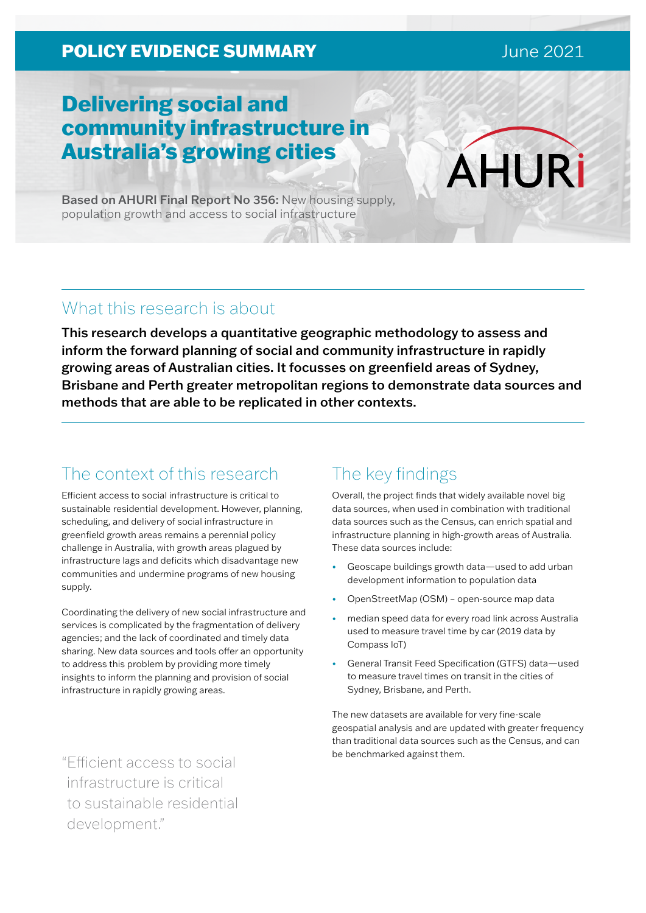### **POLICY EVIDENCE SUMMARY CONVERTED AND RESIDENCE**

# Delivering social and community infrastructure in Australia's growing cities

Based on AHURI Final Report No 356: New housing supply, population growth and access to social infrastructure

### What this research is about

This research develops a quantitative geographic methodology to assess and inform the forward planning of social and community infrastructure in rapidly growing areas of Australian cities. It focusses on greenfield areas of Sydney, Brisbane and Perth greater metropolitan regions to demonstrate data sources and methods that are able to be replicated in other contexts.

## The context of this research

Efficient access to social infrastructure is critical to sustainable residential development. However, planning, scheduling, and delivery of social infrastructure in greenfield growth areas remains a perennial policy challenge in Australia, with growth areas plagued by infrastructure lags and deficits which disadvantage new communities and undermine programs of new housing supply.

Coordinating the delivery of new social infrastructure and services is complicated by the fragmentation of delivery agencies; and the lack of coordinated and timely data sharing. New data sources and tools offer an opportunity to address this problem by providing more timely insights to inform the planning and provision of social infrastructure in rapidly growing areas.

be benchmarked against them. "Efficient access to social infrastructure is critical to sustainable residential development."

## The key findings

Overall, the project finds that widely available novel big data sources, when used in combination with traditional data sources such as the Census, can enrich spatial and infrastructure planning in high-growth areas of Australia. These data sources include:

- Geoscape buildings growth data—used to add urban development information to population data
- OpenStreetMap (OSM) open-source map data
- median speed data for every road link across Australia used to measure travel time by car (2019 data by Compass IoT)
- General Transit Feed Specification (GTFS) data—used to measure travel times on transit in the cities of Sydney, Brisbane, and Perth.

The new datasets are available for very fine-scale geospatial analysis and are updated with greater frequency than traditional data sources such as the Census, and can

**AHURİ**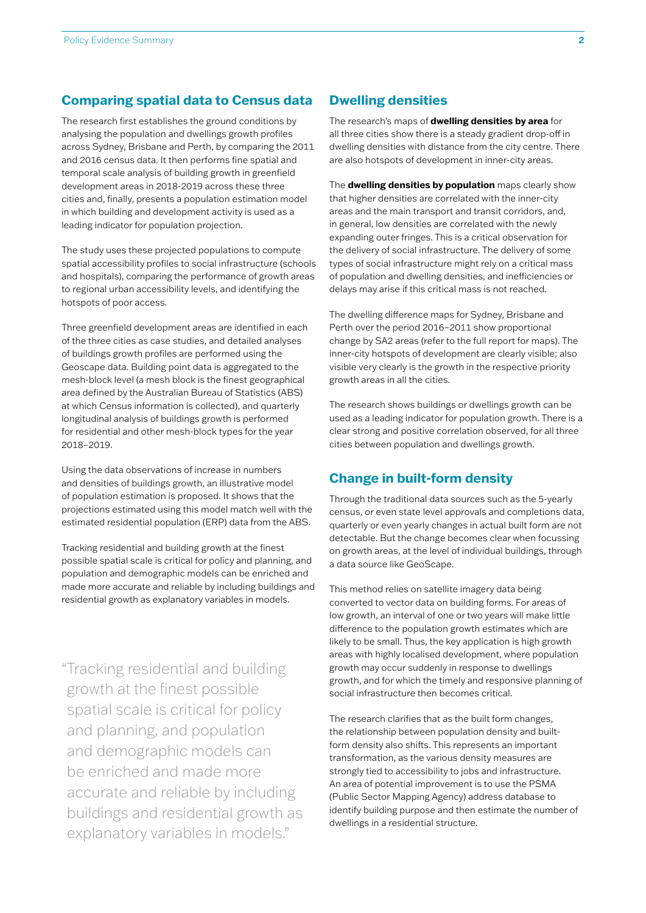#### **Comparing spatial data to Census data**

The research first establishes the ground conditions by analysing the population and dwellings growth profiles across Sydney, Brisbane and Perth, by comparing the 2011 and 2016 census data. It then performs fine spatial and temporal scale analysis of building growth in greenfield development areas in 2018-2019 across these three cities and, finally, presents a population estimation model in which building and development activity is used as a leading indicator for population projection.

The study uses these projected populations to compute spatial accessibility profiles to social infrastructure (schools and hospitals), comparing the performance of growth areas to regional urban accessibility levels, and identifying the hotspots of poor access.

Three greenfield development areas are identified in each of the three cities as case studies, and detailed analyses of buildings growth profiles are performed using the Geoscape data. Building point data is aggregated to the mesh-block level (a mesh block is the finest geographical area defined by the Australian Bureau of Statistics (ABS) at which Census information is collected), and quarterly longitudinal analysis of buildings growth is performed for residential and other mesh-block types for the year 2018–2019.

Using the data observations of increase in numbers and densities of buildings growth, an illustrative model of population estimation is proposed. It shows that the projections estimated using this model match well with the estimated residential population (ERP) data from the ABS.

Tracking residential and building growth at the finest possible spatial scale is critical for policy and planning, and population and demographic models can be enriched and made more accurate and reliable by including buildings and residential growth as explanatory variables in models.

"Tracking residential and building growth at the finest possible spatial scale is critical for policy and planning, and population and demographic models can be enriched and made more accurate and reliable by including buildings and residential growth as explanatory variables in models."

#### **Dwelling densities**

The research's maps of **dwelling densities by area** for all three cities show there is a steady gradient drop-off in dwelling densities with distance from the city centre. There are also hotspots of development in inner-city areas.

The **dwelling densities by population** maps clearly show that higher densities are correlated with the inner-city areas and the main transport and transit corridors, and, in general, low densities are correlated with the newly expanding outer fringes. This is a critical observation for the delivery of social infrastructure. The delivery of some types of social infrastructure might rely on a critical mass of population and dwelling densities, and inefficiencies or delays may arise if this critical mass is not reached.

The dwelling difference maps for Sydney, Brisbane and Perth over the period 2016–2011 show proportional change by SA2 areas (refer to the full report for maps). The inner-city hotspots of development are clearly visible; also visible very clearly is the growth in the respective priority growth areas in all the cities.

The research shows buildings or dwellings growth can be used as a leading indicator for population growth. There is a clear strong and positive correlation observed, for all three cities between population and dwellings growth.

#### **Change in built-form density**

Through the traditional data sources such as the 5-yearly census, or even state level approvals and completions data, quarterly or even yearly changes in actual built form are not detectable. But the change becomes clear when focussing on growth areas, at the level of individual buildings, through a data source like GeoScape.

This method relies on satellite imagery data being converted to vector data on building forms. For areas of low growth, an interval of one or two years will make little difference to the population growth estimates which are likely to be small. Thus, the key application is high growth areas with highly localised development, where population growth may occur suddenly in response to dwellings growth, and for which the timely and responsive planning of social infrastructure then becomes critical.

The research clarifies that as the built form changes, the relationship between population density and builtform density also shifts. This represents an important transformation, as the various density measures are strongly tied to accessibility to jobs and infrastructure. An area of potential improvement is to use the PSMA (Public Sector Mapping Agency) address database to identify building purpose and then estimate the number of dwellings in a residential structure.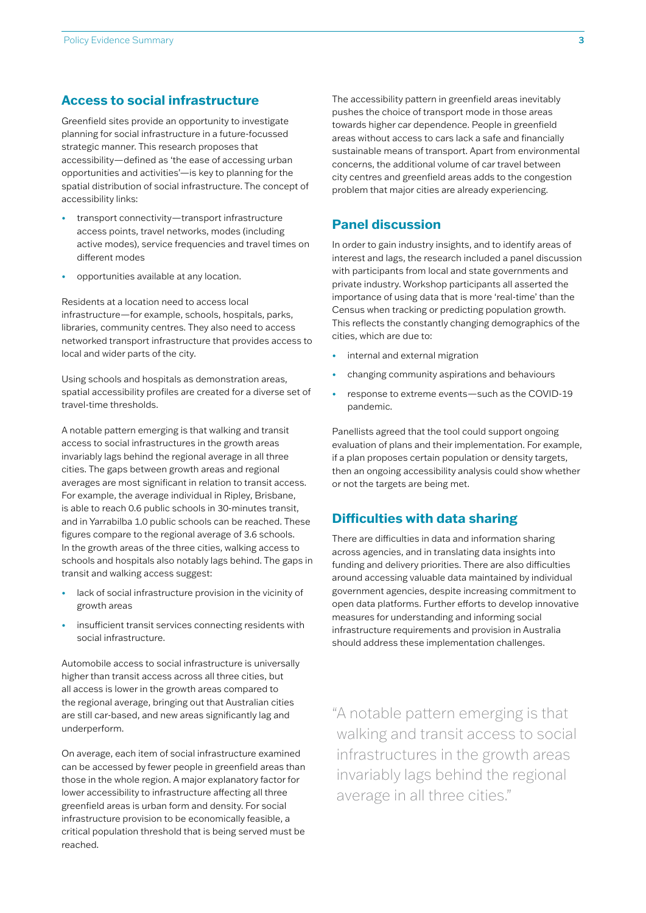#### **Access to social infrastructure**

Greenfield sites provide an opportunity to investigate planning for social infrastructure in a future-focussed strategic manner. This research proposes that accessibility—defined as 'the ease of accessing urban opportunities and activities'—is key to planning for the spatial distribution of social infrastructure. The concept of accessibility links:

- transport connectivity—transport infrastructure access points, travel networks, modes (including active modes), service frequencies and travel times on different modes
- opportunities available at any location.

Residents at a location need to access local infrastructure—for example, schools, hospitals, parks, libraries, community centres. They also need to access networked transport infrastructure that provides access to local and wider parts of the city.

Using schools and hospitals as demonstration areas, spatial accessibility profiles are created for a diverse set of travel-time thresholds.

A notable pattern emerging is that walking and transit access to social infrastructures in the growth areas invariably lags behind the regional average in all three cities. The gaps between growth areas and regional averages are most significant in relation to transit access. For example, the average individual in Ripley, Brisbane, is able to reach 0.6 public schools in 30-minutes transit, and in Yarrabilba 1.0 public schools can be reached. These figures compare to the regional average of 3.6 schools. In the growth areas of the three cities, walking access to schools and hospitals also notably lags behind. The gaps in transit and walking access suggest:

- lack of social infrastructure provision in the vicinity of growth areas
- insufficient transit services connecting residents with social infrastructure.

Automobile access to social infrastructure is universally higher than transit access across all three cities, but all access is lower in the growth areas compared to the regional average, bringing out that Australian cities are still car-based, and new areas significantly lag and underperform.

On average, each item of social infrastructure examined can be accessed by fewer people in greenfield areas than those in the whole region. A major explanatory factor for lower accessibility to infrastructure affecting all three greenfield areas is urban form and density. For social infrastructure provision to be economically feasible, a critical population threshold that is being served must be reached.

The accessibility pattern in greenfield areas inevitably pushes the choice of transport mode in those areas towards higher car dependence. People in greenfield areas without access to cars lack a safe and financially sustainable means of transport. Apart from environmental concerns, the additional volume of car travel between city centres and greenfield areas adds to the congestion problem that major cities are already experiencing.

#### **Panel discussion**

In order to gain industry insights, and to identify areas of interest and lags, the research included a panel discussion with participants from local and state governments and private industry. Workshop participants all asserted the importance of using data that is more 'real-time' than the Census when tracking or predicting population growth. This reflects the constantly changing demographics of the cities, which are due to:

- internal and external migration
- changing community aspirations and behaviours
- response to extreme events—such as the COVID-19 pandemic.

Panellists agreed that the tool could support ongoing evaluation of plans and their implementation. For example, if a plan proposes certain population or density targets, then an ongoing accessibility analysis could show whether or not the targets are being met.

### **Difficulties with data sharing**

There are difficulties in data and information sharing across agencies, and in translating data insights into funding and delivery priorities. There are also difficulties around accessing valuable data maintained by individual government agencies, despite increasing commitment to open data platforms. Further efforts to develop innovative measures for understanding and informing social infrastructure requirements and provision in Australia should address these implementation challenges.

"A notable pattern emerging is that walking and transit access to social infrastructures in the growth areas invariably lags behind the regional average in all three cities."